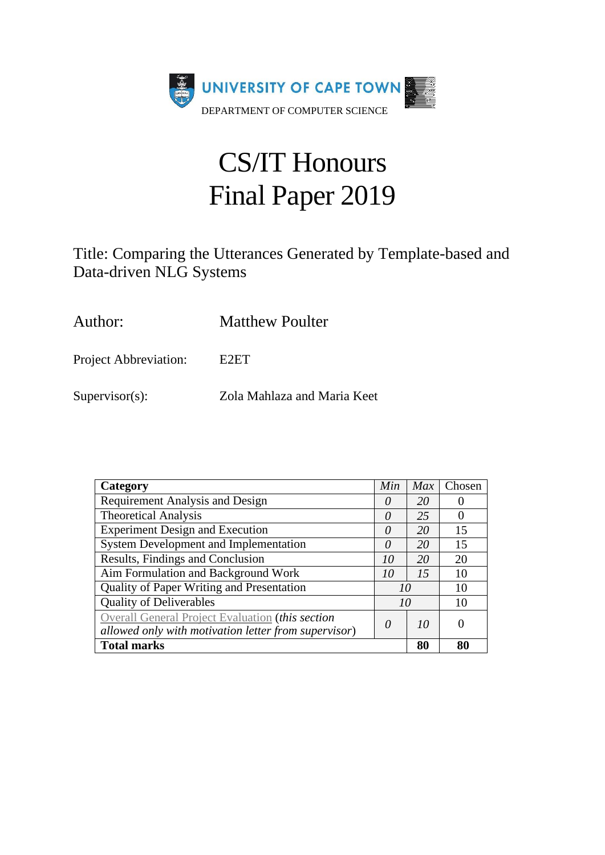

# CS/IT Honours Final Paper 2019

Title: Comparing the Utterances Generated by Template-based and Data-driven NLG Systems

Author: Matthew Poulter

Project Abbreviation: E2ET

Supervisor(s): Zola Mahlaza and Maria Keet

| Category                                                                                                 | Min      | Max | Chosen |
|----------------------------------------------------------------------------------------------------------|----------|-----|--------|
| Requirement Analysis and Design                                                                          | $\theta$ | 20  |        |
| <b>Theoretical Analysis</b>                                                                              | 0        | 25  |        |
| <b>Experiment Design and Execution</b>                                                                   | $\theta$ | 20  | 15     |
| <b>System Development and Implementation</b>                                                             | $\theta$ | 20  | 15     |
| Results, Findings and Conclusion                                                                         | 10       | 20  | 20     |
| Aim Formulation and Background Work                                                                      | 10       |     | 10     |
| Quality of Paper Writing and Presentation                                                                | 10       |     | 10     |
| <b>Quality of Deliverables</b>                                                                           | 10       |     | 10     |
| Overall General Project Evaluation (this section<br>allowed only with motivation letter from supervisor) | 0        | 10  |        |
| <b>Total marks</b>                                                                                       |          | 80  | 80     |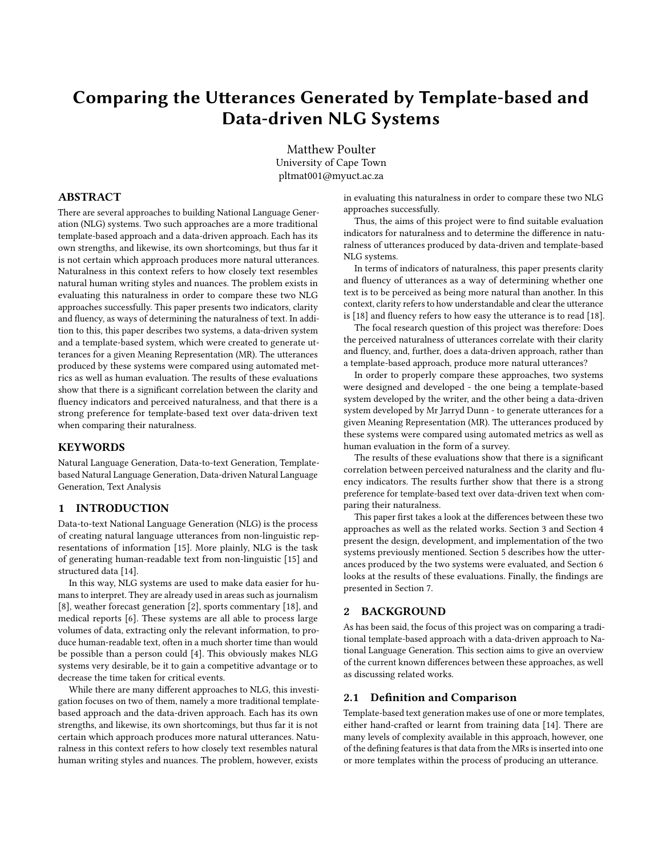# <span id="page-1-0"></span>Comparing the Utterances Generated by Template-based and Data-driven NLG Systems

Matthew Poulter University of Cape Town pltmat001@myuct.ac.za

# ABSTRACT

There are several approaches to building National Language Generation (NLG) systems. Two such approaches are a more traditional template-based approach and a data-driven approach. Each has its own strengths, and likewise, its own shortcomings, but thus far it is not certain which approach produces more natural utterances. Naturalness in this context refers to how closely text resembles natural human writing styles and nuances. The problem exists in evaluating this naturalness in order to compare these two NLG approaches successfully. This paper presents two indicators, clarity and fluency, as ways of determining the naturalness of text. In addition to this, this paper describes two systems, a data-driven system and a template-based system, which were created to generate utterances for a given Meaning Representation (MR). The utterances produced by these systems were compared using automated metrics as well as human evaluation. The results of these evaluations show that there is a significant correlation between the clarity and fluency indicators and perceived naturalness, and that there is a strong preference for template-based text over data-driven text when comparing their naturalness.

#### **KEYWORDS**

Natural Language Generation, Data-to-text Generation, Templatebased Natural Language Generation, Data-driven Natural Language Generation, Text Analysis

# 1 INTRODUCTION

Data-to-text National Language Generation (NLG) is the process of creating natural language utterances from non-linguistic representations of information [\[15\]](#page-8-0). More plainly, NLG is the task of generating human-readable text from non-linguistic [\[15\]](#page-8-0) and structured data [\[14\]](#page-8-1).

In this way, NLG systems are used to make data easier for humans to interpret. They are already used in areas such as journalism [\[8\]](#page-8-2), weather forecast generation [\[2\]](#page-8-3), sports commentary [\[18\]](#page-8-4), and medical reports [\[6\]](#page-8-5). These systems are all able to process large volumes of data, extracting only the relevant information, to produce human-readable text, often in a much shorter time than would be possible than a person could [\[4\]](#page-8-6). This obviously makes NLG systems very desirable, be it to gain a competitive advantage or to decrease the time taken for critical events.

While there are many different approaches to NLG, this investigation focuses on two of them, namely a more traditional templatebased approach and the data-driven approach. Each has its own strengths, and likewise, its own shortcomings, but thus far it is not certain which approach produces more natural utterances. Naturalness in this context refers to how closely text resembles natural human writing styles and nuances. The problem, however, exists

in evaluating this naturalness in order to compare these two NLG approaches successfully.

Thus, the aims of this project were to find suitable evaluation indicators for naturalness and to determine the difference in naturalness of utterances produced by data-driven and template-based NLG systems.

In terms of indicators of naturalness, this paper presents clarity and fluency of utterances as a way of determining whether one text is to be perceived as being more natural than another. In this context, clarity refers to how understandable and clear the utterance is [\[18\]](#page-8-4) and fluency refers to how easy the utterance is to read [\[18\]](#page-8-4).

The focal research question of this project was therefore: Does the perceived naturalness of utterances correlate with their clarity and fluency, and, further, does a data-driven approach, rather than a template-based approach, produce more natural utterances?

In order to properly compare these approaches, two systems were designed and developed - the one being a template-based system developed by the writer, and the other being a data-driven system developed by Mr Jarryd Dunn - to generate utterances for a given Meaning Representation (MR). The utterances produced by these systems were compared using automated metrics as well as human evaluation in the form of a survey.

The results of these evaluations show that there is a significant correlation between perceived naturalness and the clarity and fluency indicators. The results further show that there is a strong preference for template-based text over data-driven text when comparing their naturalness.

This paper first takes a look at the differences between these two approaches as well as the related works. Section [3](#page-2-0) and Section [4](#page-4-0) present the design, development, and implementation of the two systems previously mentioned. Section [5](#page-5-0) describes how the utterances produced by the two systems were evaluated, and Section [6](#page-6-0) looks at the results of these evaluations. Finally, the findings are presented in Section [7.](#page-7-0)

# 2 BACKGROUND

As has been said, the focus of this project was on comparing a traditional template-based approach with a data-driven approach to National Language Generation. This section aims to give an overview of the current known differences between these approaches, as well as discussing related works.

#### 2.1 Definition and Comparison

Template-based text generation makes use of one or more templates, either hand-crafted or learnt from training data [\[14\]](#page-8-1). There are many levels of complexity available in this approach, however, one of the defining features is that data from the MRs is inserted into one or more templates within the process of producing an utterance.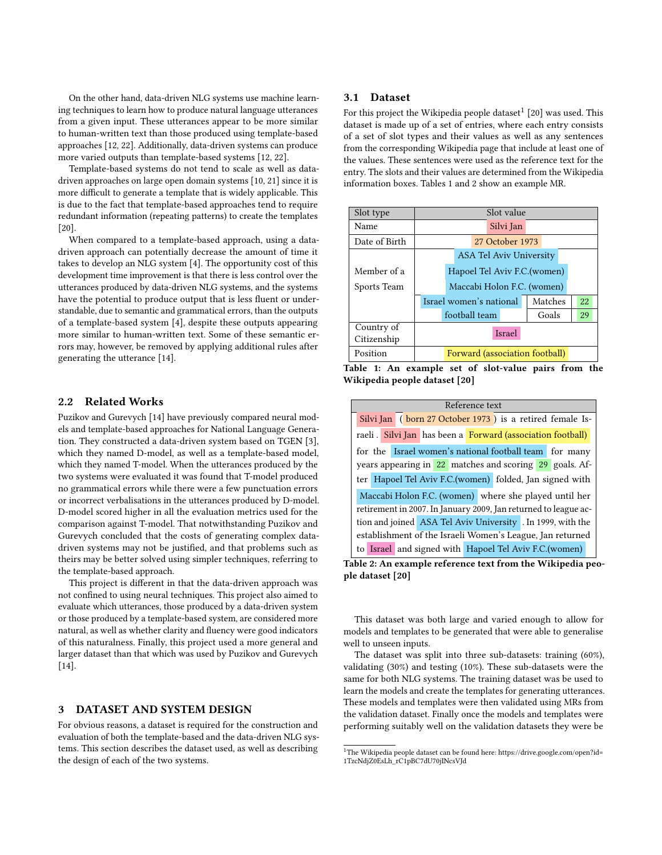On the other hand, data-driven [NLG](#page-1-0) systems use machine learning techniques to learn how to produce natural language utterances from a given input. These utterances appear to be more similar to human-written text than those produced using template-based approaches [\[12,](#page-8-7) [22\]](#page-8-8). Additionally, data-driven systems can produce more varied outputs than template-based systems [\[12,](#page-8-7) [22\]](#page-8-8).

Template-based systems do not tend to scale as well as datadriven approaches on large open domain systems [\[10,](#page-8-9) [21\]](#page-8-10) since it is more difficult to generate a template that is widely applicable. This is due to the fact that template-based approaches tend to require redundant information (repeating patterns) to create the templates [\[20\]](#page-8-11).

When compared to a template-based approach, using a datadriven approach can potentially decrease the amount of time it takes to develop an [NLG](#page-1-0) system [\[4\]](#page-8-6). The opportunity cost of this development time improvement is that there is less control over the utterances produced by data-driven [NLG](#page-1-0) systems, and the systems have the potential to produce output that is less fluent or understandable, due to semantic and grammatical errors, than the outputs of a template-based system [\[4\]](#page-8-6), despite these outputs appearing more similar to human-written text. Some of these semantic errors may, however, be removed by applying additional rules after generating the utterance [\[14\]](#page-8-1).

#### 2.2 Related Works

Puzikov and Gurevych [\[14\]](#page-8-1) have previously compared neural models and template-based approaches for [National Language Genera](#page-1-0)[tion.](#page-1-0) They constructed a data-driven system based on TGEN [\[3\]](#page-8-12), which they named D-model, as well as a template-based model, which they named T-model. When the utterances produced by the two systems were evaluated it was found that T-model produced no grammatical errors while there were a few punctuation errors or incorrect verbalisations in the utterances produced by D-model. D-model scored higher in all the evaluation metrics used for the comparison against T-model. That notwithstanding [Puzikov and](#page-8-1) [Gurevych](#page-8-1) concluded that the costs of generating complex datadriven systems may not be justified, and that problems such as theirs may be better solved using simpler techniques, referring to the template-based approach.

This project is different in that the data-driven approach was not confined to using neural techniques. This project also aimed to evaluate which utterances, those produced by a data-driven system or those produced by a template-based system, are considered more natural, as well as whether clarity and fluency were good indicators of this naturalness. Finally, this project used a more general and larger dataset than that which was used by Puzikov and Gurevych [\[14\]](#page-8-1).

#### <span id="page-2-0"></span>3 DATASET AND SYSTEM DESIGN

For obvious reasons, a dataset is required for the construction and evaluation of both the template-based and the data-driven [NLG](#page-1-0) systems. This section describes the dataset used, as well as describing the design of each of the two systems.

### 3.1 Dataset

For this project the Wikipedia people dataset $^1$  $^1$  [\[20\]](#page-8-11) was used. This dataset is made up of a set of entries, where each entry consists of a set of slot types and their values as well as any sentences from the corresponding Wikipedia page that include at least one of the values. These sentences were used as the reference text for the entry. The slots and their values are determined from the Wikipedia information boxes. Tables [1](#page-2-2) and [2](#page-2-2) show an example [MR.](#page-1-0)

<span id="page-2-2"></span>

| Slot type     | Slot value                     |         |    |  |
|---------------|--------------------------------|---------|----|--|
| Name          | Silvi Jan                      |         |    |  |
| Date of Birth | 27 October 1973                |         |    |  |
|               | ASA Tel Aviv University        |         |    |  |
| Member of a   | Hapoel Tel Aviv F.C. (women)   |         |    |  |
| Sports Team   | Maccabi Holon F.C. (women)     |         |    |  |
|               | Israel women's national        | Matches | 22 |  |
|               | football team                  | Goals   | 29 |  |
| Country of    | <b>Israel</b>                  |         |    |  |
| Citizenship   |                                |         |    |  |
| Position      | Forward (association football) |         |    |  |

Table 1: An example set of slot-value pairs from the Wikipedia people dataset [\[20\]](#page-8-11)

|                                                           | Reference text                                                  |  |                                                             |  |  |
|-----------------------------------------------------------|-----------------------------------------------------------------|--|-------------------------------------------------------------|--|--|
|                                                           |                                                                 |  | Silvi Jan (born 27 October 1973) is a retired female Is-    |  |  |
|                                                           |                                                                 |  | raeli. Silvi Jan has been a Forward (association football)  |  |  |
|                                                           |                                                                 |  | for the Israel women's national football team for many      |  |  |
|                                                           |                                                                 |  | years appearing in 22 matches and scoring 29 goals. Af-     |  |  |
|                                                           | ter Hapoel Tel Aviv F.C.(women) folded, Jan signed with         |  |                                                             |  |  |
|                                                           | Maccabi Holon F.C. (women) where she played until her           |  |                                                             |  |  |
|                                                           | retirement in 2007. In January 2009, Jan returned to league ac- |  |                                                             |  |  |
|                                                           |                                                                 |  | tion and joined ASA Tel Aviv University . In 1999, with the |  |  |
| establishment of the Israeli Women's League, Jan returned |                                                                 |  |                                                             |  |  |
|                                                           |                                                                 |  | to Israel and signed with Hapoel Tel Aviv F.C.(women)       |  |  |



This dataset was both large and varied enough to allow for models and templates to be generated that were able to generalise well to unseen inputs.

The dataset was split into three sub-datasets: training (60%), validating (30%) and testing (10%). These sub-datasets were the same for both [NLG](#page-1-0) systems. The training dataset was be used to learn the models and create the templates for generating utterances. These models and templates were then validated using [MRs](#page-1-0) from the validation dataset. Finally once the models and templates were performing suitably well on the validation datasets they were be

<span id="page-2-1"></span> $^{\rm 1}$ The Wikipedia people dataset can be found here: [https://drive.google.com/open?id=](https://drive.google.com/open?id=1TzcNdjZ0EsLh_rC1pBC7dU70jINcsVJd) [1TzcNdjZ0EsLh\\_rC1pBC7dU70jINcsVJd](https://drive.google.com/open?id=1TzcNdjZ0EsLh_rC1pBC7dU70jINcsVJd)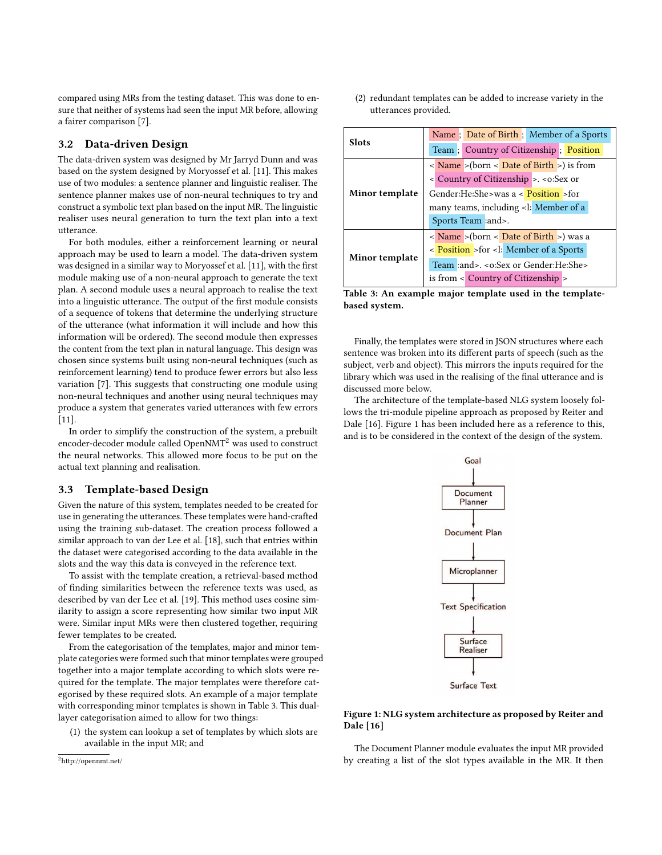compared using [MRs](#page-1-0) from the testing dataset. This was done to ensure that neither of systems had seen the input [MR](#page-1-0) before, allowing a fairer comparison [\[7\]](#page-8-13).

# 3.2 Data-driven Design

The data-driven system was designed by Mr Jarryd Dunn and was based on the system designed by Moryossef et al. [\[11\]](#page-8-14). This makes use of two modules: a sentence planner and linguistic realiser. The sentence planner makes use of non-neural techniques to try and construct a symbolic text plan based on the input [MR.](#page-1-0) The linguistic realiser uses neural generation to turn the text plan into a text utterance.

For both modules, either a reinforcement learning or neural approach may be used to learn a model. The data-driven system was designed in a similar way to Moryossef et al. [\[11\]](#page-8-14), with the first module making use of a non-neural approach to generate the text plan. A second module uses a neural approach to realise the text into a linguistic utterance. The output of the first module consists of a sequence of tokens that determine the underlying structure of the utterance (what information it will include and how this information will be ordered). The second module then expresses the content from the text plan in natural language. This design was chosen since systems built using non-neural techniques (such as reinforcement learning) tend to produce fewer errors but also less variation [\[7\]](#page-8-13). This suggests that constructing one module using non-neural techniques and another using neural techniques may produce a system that generates varied utterances with few errors [\[11\]](#page-8-14).

In order to simplify the construction of the system, a prebuilt encoder-decoder module called OpenNMT<sup>[2](#page-3-0)</sup> was used to construct the neural networks. This allowed more focus to be put on the actual text planning and realisation.

### 3.3 Template-based Design

Given the nature of this system, templates needed to be created for use in generating the utterances. These templates were hand-crafted using the training sub-dataset. The creation process followed a similar approach to van der Lee et al. [\[18\]](#page-8-4), such that entries within the dataset were categorised according to the data available in the slots and the way this data is conveyed in the reference text.

To assist with the template creation, a retrieval-based method of finding similarities between the reference texts was used, as described by van der Lee et al. [\[19\]](#page-8-15). This method uses cosine similarity to assign a score representing how similar two input [MR](#page-1-0) were. Similar input [MRs](#page-1-0) were then clustered together, requiring fewer templates to be created.

From the categorisation of the templates, major and minor template categories were formed such that minor templates were grouped together into a major template according to which slots were required for the template. The major templates were therefore categorised by these required slots. An example of a major template with corresponding minor templates is shown in Table [3.](#page-3-1) This duallayer categorisation aimed to allow for two things:

(1) the system can lookup a set of templates by which slots are available in the input [MR;](#page-1-0) and

(2) redundant templates can be added to increase variety in the utterances provided.

<span id="page-3-1"></span>

| Slots          | Name ; Date of Birth ; Member of a Sports                      |  |  |  |
|----------------|----------------------------------------------------------------|--|--|--|
|                | Team; Country of Citizenship; Position                         |  |  |  |
|                | $\langle$ Name $>$ (born $\langle$ Date of Birth $>$ ) is from |  |  |  |
|                | < Country of Citizenship > .< o: Sex or                        |  |  |  |
| Minor template | Gender:He:She>was a < Position >for                            |  |  |  |
|                | many teams, including <l: a<="" member="" of="" td=""></l:>    |  |  |  |
|                | Sports Team :and>.                                             |  |  |  |
|                | $\langle$ Name > (born $\langle$ Date of Birth >) was a        |  |  |  |
| Minor template | < Position > for < l: Member of a Sports                       |  |  |  |
|                | Team :and>. < o:Sex or Gender:He:She>                          |  |  |  |
|                | is from $\leq$ Country of Citizenship $\geq$                   |  |  |  |



Finally, the templates were stored in JSON structures where each sentence was broken into its different parts of speech (such as the subject, verb and object). This mirrors the inputs required for the library which was used in the realising of the final utterance and is discussed more below.

<span id="page-3-2"></span>The architecture of the template-based [NLG](#page-1-0) system loosely follows the tri-module pipeline approach as proposed by Reiter and Dale [\[16\]](#page-8-16). Figure [1](#page-3-2) has been included here as a reference to this, and is to be considered in the context of the design of the system.



#### Figure 1: [NLG](#page-1-0) system architecture as proposed by Reiter and Dale [\[16\]](#page-8-16)

The Document Planner module evaluates the input [MR](#page-1-0) provided by creating a list of the slot types available in the [MR.](#page-1-0) It then

<span id="page-3-0"></span><sup>2</sup><http://opennmt.net/>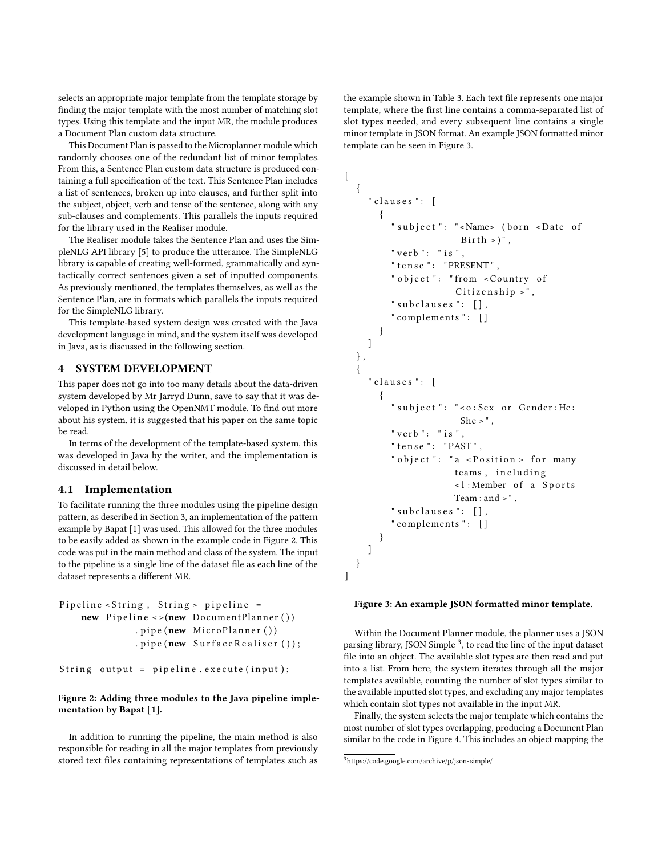selects an appropriate major template from the template storage by finding the major template with the most number of matching slot types. Using this template and the input [MR,](#page-1-0) the module produces a Document Plan custom data structure.

This Document Plan is passed to the Microplanner module which randomly chooses one of the redundant list of minor templates. From this, a Sentence Plan custom data structure is produced containing a full specification of the text. This Sentence Plan includes a list of sentences, broken up into clauses, and further split into the subject, object, verb and tense of the sentence, along with any sub-clauses and complements. This parallels the inputs required for the library used in the Realiser module.

The Realiser module takes the Sentence Plan and uses the SimpleNLG API library [\[5\]](#page-8-17) to produce the utterance. The SimpleNLG library is capable of creating well-formed, grammatically and syntactically correct sentences given a set of inputted components. As previously mentioned, the templates themselves, as well as the Sentence Plan, are in formats which parallels the inputs required for the SimpleNLG library.

This template-based system design was created with the Java development language in mind, and the system itself was developed in Java, as is discussed in the following section.

# <span id="page-4-0"></span>4 SYSTEM DEVELOPMENT

This paper does not go into too many details about the data-driven system developed by Mr Jarryd Dunn, save to say that it was developed in Python using the OpenNMT module. To find out more about his system, it is suggested that his paper on the same topic be read.

In terms of the development of the template-based system, this was developed in Java by the writer, and the implementation is discussed in detail below.

#### 4.1 Implementation

To facilitate running the three modules using the pipeline design pattern, as described in Section [3,](#page-2-0) an implementation of the pattern example by Bapat [\[1\]](#page-8-18) was used. This allowed for the three modules to be easily added as shown in the example code in Figure [2.](#page-4-1) This code was put in the main method and class of the system. The input to the pipeline is a single line of the dataset file as each line of the dataset represents a different [MR.](#page-1-0)

```
Pipeline < String, String > pipeline =
    new Pipeline \leq (new DocumentPlanner ())
               . pipe (new MicroPlanner ())
               . pipe (new \text{ SurfaceRealiser} ();
```
String output = pipeline. execute (input);

# Figure 2: Adding three modules to the Java pipeline implementation by Bapat [\[1\]](#page-8-18).

In addition to running the pipeline, the main method is also responsible for reading in all the major templates from previously stored text files containing representations of templates such as the example shown in Table [3.](#page-3-1) Each text file represents one major template, where the first line contains a comma-separated list of slot types needed, and every subsequent line contains a single minor template in JSON format. An example JSON formatted minor template can be seen in Figure [3.](#page-4-2)

```
\lceil{
     " clauses ": [{
          " subject ": "<Name> (born <Date of
                         Birth > )".
          " verb ": "is",
          " tense ": "PRESENT",
          " object ": " from <Country of
                       Citizenship,
          " subclauses ": \lceil \rceil,
          " complements ": []
       }
    ]
  } ,
  {
     " clauses ": [
        {
          " subject ": "<0: Sex or Gender: He:
                        She >",
          " verb ": "is"
          " tense ": "PAST",
          " object": "a \leq P osition > for many
                       teams, including
                       \leq l: Member of a Sports
                       Team : and >",
          " subclauses ": [ ],
          " complements ": []
       }
    ]
  }
]
```
#### Figure 3: An example JSON formatted minor template.

Within the Document Planner module, the planner uses a JSON parsing library, JSON Simple<sup>[3](#page-4-3)</sup>, to read the line of the input dataset file into an object. The available slot types are then read and put into a list. From here, the system iterates through all the major templates available, counting the number of slot types similar to the available inputted slot types, and excluding any major templates which contain slot types not available in the input [MR.](#page-1-0)

Finally, the system selects the major template which contains the most number of slot types overlapping, producing a Document Plan similar to the code in Figure [4.](#page-5-1) This includes an object mapping the

<span id="page-4-3"></span><sup>3</sup><https://code.google.com/archive/p/json-simple/>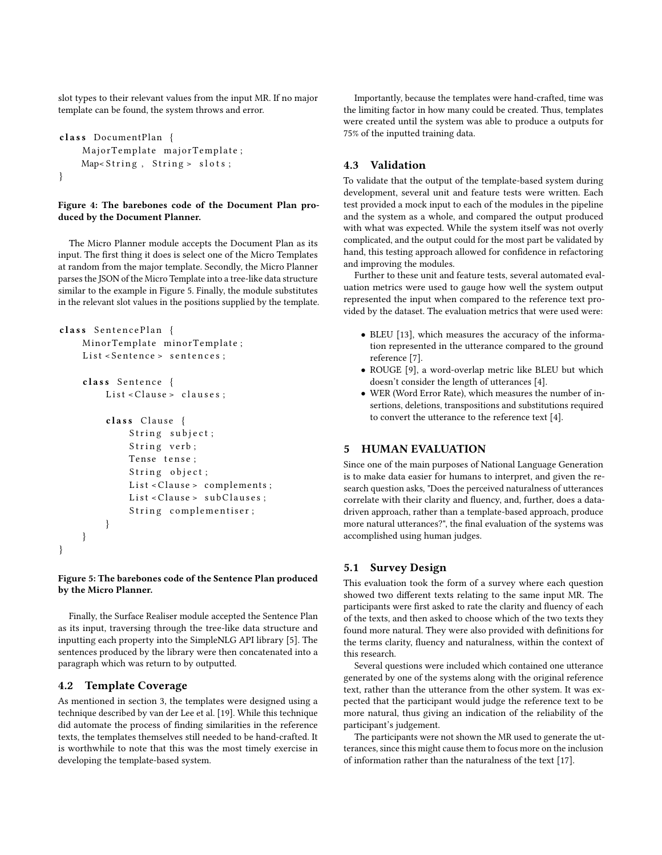slot types to their relevant values from the input [MR.](#page-1-0) If no major template can be found, the system throws and error.

```
class DocumentPlan {
    Major Template major Template;
    Map<String, String> slots;
}
```
### Figure 4: The barebones code of the Document Plan produced by the Document Planner.

The Micro Planner module accepts the Document Plan as its input. The first thing it does is select one of the Micro Templates at random from the major template. Secondly, the Micro Planner parses the JSON of the Micro Template into a tree-like data structure similar to the example in Figure [5.](#page-5-2) Finally, the module substitutes in the relevant slot values in the positions supplied by the template.

```
class SentencePlan {
    MinorTemplate minorTemplate;
    List < Sentence > sentences ;
```

```
class Sentence {
    List < Clause > clauses;
    class Clause {
        String subject;
        String verb;
        Tense tense;
```

```
String object;
    List < Clause > complements;
    List < Clause > subClauses;
    String complementiser;
}
```
Figure 5: The barebones code of the Sentence Plan produced by the Micro Planner.

Finally, the Surface Realiser module accepted the Sentence Plan as its input, traversing through the tree-like data structure and inputting each property into the SimpleNLG API library [\[5\]](#page-8-17). The sentences produced by the library were then concatenated into a paragraph which was return to by outputted.

# 4.2 Template Coverage

}

}

As mentioned in section [3,](#page-2-0) the templates were designed using a technique described by van der Lee et al. [\[19\]](#page-8-15). While this technique did automate the process of finding similarities in the reference texts, the templates themselves still needed to be hand-crafted. It is worthwhile to note that this was the most timely exercise in developing the template-based system.

Importantly, because the templates were hand-crafted, time was the limiting factor in how many could be created. Thus, templates were created until the system was able to produce a outputs for 75% of the inputted training data.

# 4.3 Validation

To validate that the output of the template-based system during development, several unit and feature tests were written. Each test provided a mock input to each of the modules in the pipeline and the system as a whole, and compared the output produced with what was expected. While the system itself was not overly complicated, and the output could for the most part be validated by hand, this testing approach allowed for confidence in refactoring and improving the modules.

Further to these unit and feature tests, several automated evaluation metrics were used to gauge how well the system output represented the input when compared to the reference text provided by the dataset. The evaluation metrics that were used were:

- BLEU [\[13\]](#page-8-19), which measures the accuracy of the information represented in the utterance compared to the ground reference [\[7\]](#page-8-13).
- ROUGE [\[9\]](#page-8-20), a word-overlap metric like BLEU but which doesn't consider the length of utterances [\[4\]](#page-8-6).
- WER (Word Error Rate), which measures the number of insertions, deletions, transpositions and substitutions required to convert the utterance to the reference text [\[4\]](#page-8-6).

# <span id="page-5-0"></span>5 HUMAN EVALUATION

Since one of the main purposes of [National Language Generation](#page-1-0) is to make data easier for humans to interpret, and given the research question asks, "Does the perceived naturalness of utterances correlate with their clarity and fluency, and, further, does a datadriven approach, rather than a template-based approach, produce more natural utterances?", the final evaluation of the systems was accomplished using human judges.

# 5.1 Survey Design

This evaluation took the form of a survey where each question showed two different texts relating to the same input [MR.](#page-1-0) The participants were first asked to rate the clarity and fluency of each of the texts, and then asked to choose which of the two texts they found more natural. They were also provided with definitions for the terms clarity, fluency and naturalness, within the context of this research.

Several questions were included which contained one utterance generated by one of the systems along with the original reference text, rather than the utterance from the other system. It was expected that the participant would judge the reference text to be more natural, thus giving an indication of the reliability of the participant's judgement.

The participants were not shown the [MR](#page-1-0) used to generate the utterances, since this might cause them to focus more on the inclusion of information rather than the naturalness of the text [\[17\]](#page-8-21).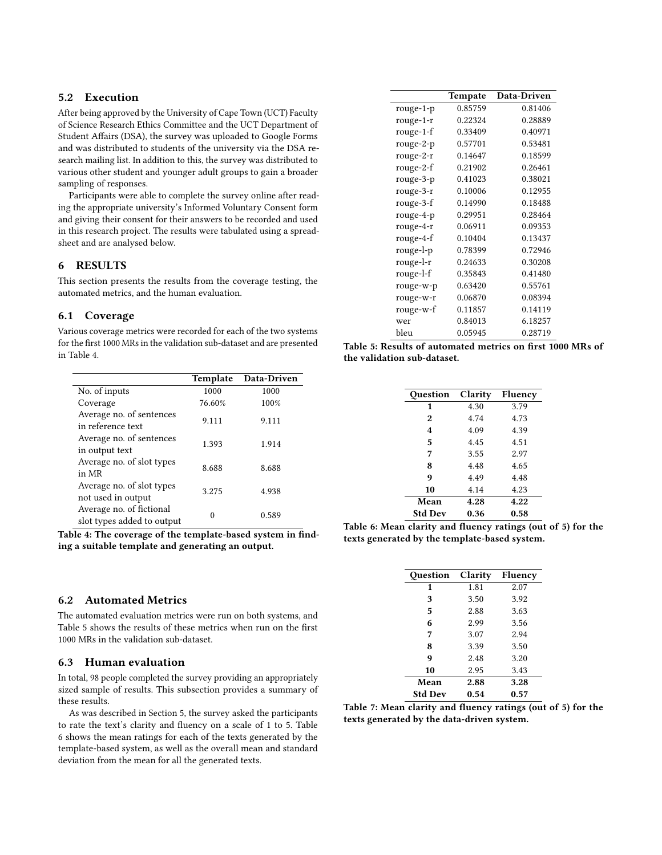# 5.2 Execution

After being approved by the University of Cape Town (UCT) Faculty of Science Research Ethics Committee and the UCT Department of Student Affairs (DSA), the survey was uploaded to Google Forms and was distributed to students of the university via the DSA research mailing list. In addition to this, the survey was distributed to various other student and younger adult groups to gain a broader sampling of responses.

Participants were able to complete the survey online after reading the appropriate university's Informed Voluntary Consent form and giving their consent for their answers to be recorded and used in this research project. The results were tabulated using a spreadsheet and are analysed below.

# <span id="page-6-0"></span>6 RESULTS

This section presents the results from the coverage testing, the automated metrics, and the human evaluation.

#### 6.1 Coverage

Various coverage metrics were recorded for each of the two systems for the first 1000 [MRs](#page-1-0) in the validation sub-dataset and are presented in Table [4.](#page-6-1)

<span id="page-6-1"></span>

|                                                        | Template | Data-Driven |
|--------------------------------------------------------|----------|-------------|
| No. of inputs                                          | 1000     | 1000        |
| Coverage                                               | 76.60%   | 100%        |
| Average no. of sentences<br>in reference text          | 9.111    | 9.111       |
| Average no. of sentences<br>in output text             | 1.393    | 1.914       |
| Average no. of slot types<br>in MR                     | 8.688    | 8.688       |
| Average no. of slot types<br>not used in output        | 3.275    | 4.938       |
| Average no. of fictional<br>slot types added to output | 0        | 0.589       |

Table 4: The coverage of the template-based system in finding a suitable template and generating an output.

#### 6.2 Automated Metrics

The automated evaluation metrics were run on both systems, and Table [5](#page-6-2) shows the results of these metrics when run on the first 1000 [MRs](#page-1-0) in the validation sub-dataset.

#### 6.3 Human evaluation

In total, 98 people completed the survey providing an appropriately sized sample of results. This subsection provides a summary of these results.

As was described in Section [5,](#page-5-0) the survey asked the participants to rate the text's clarity and fluency on a scale of 1 to 5. Table [6](#page-6-3) shows the mean ratings for each of the texts generated by the template-based system, as well as the overall mean and standard deviation from the mean for all the generated texts.

<span id="page-6-2"></span>

|             | Tempate | Data-Driven |
|-------------|---------|-------------|
| rouge-1-p   | 0.85759 | 0.81406     |
| rouge-1-r   | 0.22324 | 0.28889     |
| $rouge-1-f$ | 0.33409 | 0.40971     |
| rouge-2-p   | 0.57701 | 0.53481     |
| rouge-2-r   | 0.14647 | 0.18599     |
| rouge-2-f   | 0.21902 | 0.26461     |
| rouge-3-p   | 0.41023 | 0.38021     |
| rouge-3-r   | 0.10006 | 0.12955     |
| rouge-3-f   | 0.14990 | 0.18488     |
| rouge-4-p   | 0.29951 | 0.28464     |
| rouge-4-r   | 0.06911 | 0.09353     |
| rouge-4-f   | 0.10404 | 0.13437     |
| rouge-l-p   | 0.78399 | 0.72946     |
| rouge-l-r   | 0.24633 | 0.30208     |
| rouge-l-f   | 0.35843 | 0.41480     |
| rouge-w-p   | 0.63420 | 0.55761     |
| rouge-w-r   | 0.06870 | 0.08394     |
| rouge-w-f   | 0.11857 | 0.14119     |
| wer         | 0.84013 | 6.18257     |
| bleu        | 0.05945 | 0.28719     |

<span id="page-6-3"></span>

|  |  | Table 5: Results of automated metrics on first 1000 MRs of |  |  |  |
|--|--|------------------------------------------------------------|--|--|--|
|  |  | the validation sub-dataset.                                |  |  |  |

| Ouestion       | Clarity | <b>Fluency</b> |
|----------------|---------|----------------|
| 1              | 4.30    | 3.79           |
| 2              | 4.74    | 4.73           |
| 4              | 4.09    | 4.39           |
| 5              | 4.45    | 4.51           |
| 7              | 3.55    | 2.97           |
| 8              | 4.48    | 4.65           |
| 9              | 4.49    | 4.48           |
| 10             | 4.14    | 4.23           |
| Mean           | 4.28    | 4.22           |
| <b>Std Dev</b> | 0.36    | 0.58           |

<span id="page-6-4"></span>Table 6: Mean clarity and fluency ratings (out of 5) for the texts generated by the template-based system.

| Ouestion       | Clarity | <b>Fluency</b> |
|----------------|---------|----------------|
| 1              | 1.81    | 2.07           |
| 3              | 3.50    | 3.92           |
| 5              | 2.88    | 3.63           |
| 6              | 2.99    | 3.56           |
| 7              | 3.07    | 2.94           |
| 8              | 3.39    | 3.50           |
| 9              | 2.48    | 3.20           |
| 10             | 2.95    | 3.43           |
| Mean           | 2.88    | 3.28           |
| <b>Std Dev</b> | 0.54    | 0.57           |

Table 7: Mean clarity and fluency ratings (out of 5) for the texts generated by the data-driven system.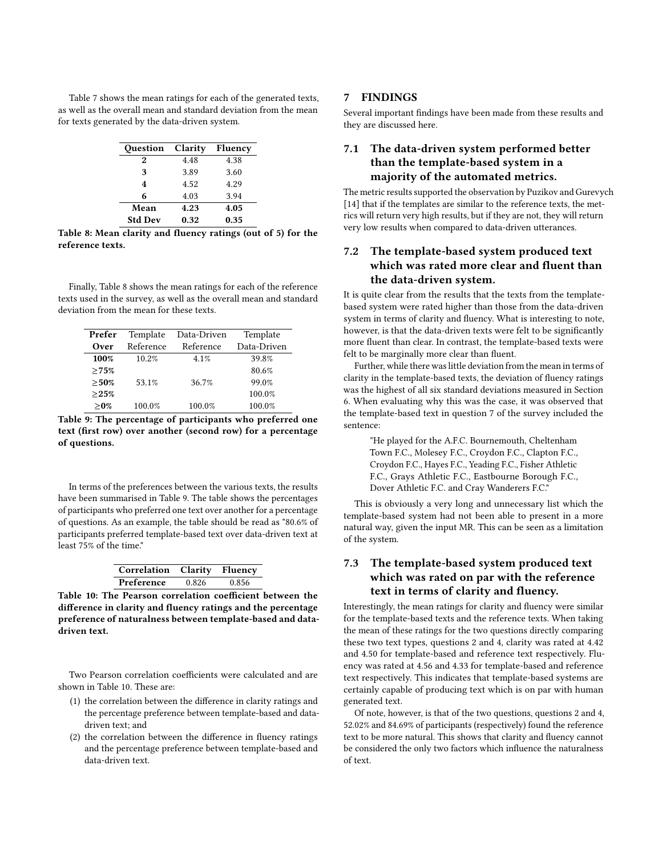<span id="page-7-1"></span>Table [7](#page-6-4) shows the mean ratings for each of the generated texts, as well as the overall mean and standard deviation from the mean for texts generated by the data-driven system.

| Question         | Clarity | Fluency |
|------------------|---------|---------|
| $\boldsymbol{2}$ | 4.48    | 4.38    |
| 3                | 3.89    | 3.60    |
| 4                | 4.52    | 4.29    |
| 6                | 4.03    | 3.94    |
| Mean             | 4.23    | 4.05    |
| <b>Std Dev</b>   | 0.32    | 0.35    |

Table 8: Mean clarity and fluency ratings (out of 5) for the reference texts.

Finally, Table [8](#page-7-1) shows the mean ratings for each of the reference texts used in the survey, as well as the overall mean and standard deviation from the mean for these texts.

<span id="page-7-2"></span>

| Prefer  | Template  | Data-Driven | Template    |
|---------|-----------|-------------|-------------|
| Over    | Reference | Reference   | Data-Driven |
| 100%    | 10.2%     | 4.1%        | 39.8%       |
| >75%    |           |             | 80.6%       |
| >50%    | 53.1%     | 36.7%       | 99.0%       |
| >25%    |           |             | 100.0%      |
| $> 0\%$ | 100.0%    | 100.0%      | 100.0%      |

Table 9: The percentage of participants who preferred one text (first row) over another (second row) for a percentage of questions.

In terms of the preferences between the various texts, the results have been summarised in Table [9.](#page-7-2) The table shows the percentages of participants who preferred one text over another for a percentage of questions. As an example, the table should be read as "80.6% of participants preferred template-based text over data-driven text at least 75% of the time."

| Correlation Clarity Fluency |       |       |
|-----------------------------|-------|-------|
| Preference                  | 0.826 | 0.856 |

<span id="page-7-3"></span>Table 10: The Pearson correlation coefficient between the difference in clarity and fluency ratings and the percentage preference of naturalness between template-based and datadriven text.

Two Pearson correlation coefficients were calculated and are shown in Table [10.](#page-7-3) These are:

- (1) the correlation between the difference in clarity ratings and the percentage preference between template-based and datadriven text; and
- (2) the correlation between the difference in fluency ratings and the percentage preference between template-based and data-driven text.

# <span id="page-7-0"></span>7 FINDINGS

Several important findings have been made from these results and they are discussed here.

# 7.1 The data-driven system performed better than the template-based system in a majority of the automated metrics.

The metric results supported the observation by Puzikov and Gurevych [\[14\]](#page-8-1) that if the templates are similar to the reference texts, the metrics will return very high results, but if they are not, they will return very low results when compared to data-driven utterances.

# <span id="page-7-4"></span>7.2 The template-based system produced text which was rated more clear and fluent than the data-driven system.

It is quite clear from the results that the texts from the templatebased system were rated higher than those from the data-driven system in terms of clarity and fluency. What is interesting to note, however, is that the data-driven texts were felt to be significantly more fluent than clear. In contrast, the template-based texts were felt to be marginally more clear than fluent.

Further, while there was little deviation from the mean in terms of clarity in the template-based texts, the deviation of fluency ratings was the highest of all six standard deviations measured in Section [6.](#page-6-0) When evaluating why this was the case, it was observed that the template-based text in question 7 of the survey included the sentence:

"He played for the A.F.C. Bournemouth, Cheltenham Town F.C., Molesey F.C., Croydon F.C., Clapton F.C., Croydon F.C., Hayes F.C., Yeading F.C., Fisher Athletic F.C., Grays Athletic F.C., Eastbourne Borough F.C., Dover Athletic F.C. and Cray Wanderers F.C."

This is obviously a very long and unnecessary list which the template-based system had not been able to present in a more natural way, given the input [MR.](#page-1-0) This can be seen as a limitation of the system.

# 7.3 The template-based system produced text which was rated on par with the reference text in terms of clarity and fluency.

Interestingly, the mean ratings for clarity and fluency were similar for the template-based texts and the reference texts. When taking the mean of these ratings for the two questions directly comparing these two text types, questions 2 and 4, clarity was rated at 4.42 and 4.50 for template-based and reference text respectively. Fluency was rated at 4.56 and 4.33 for template-based and reference text respectively. This indicates that template-based systems are certainly capable of producing text which is on par with human generated text.

Of note, however, is that of the two questions, questions 2 and 4, 52.02% and 84.69% of participants (respectively) found the reference text to be more natural. This shows that clarity and fluency cannot be considered the only two factors which influence the naturalness of text.